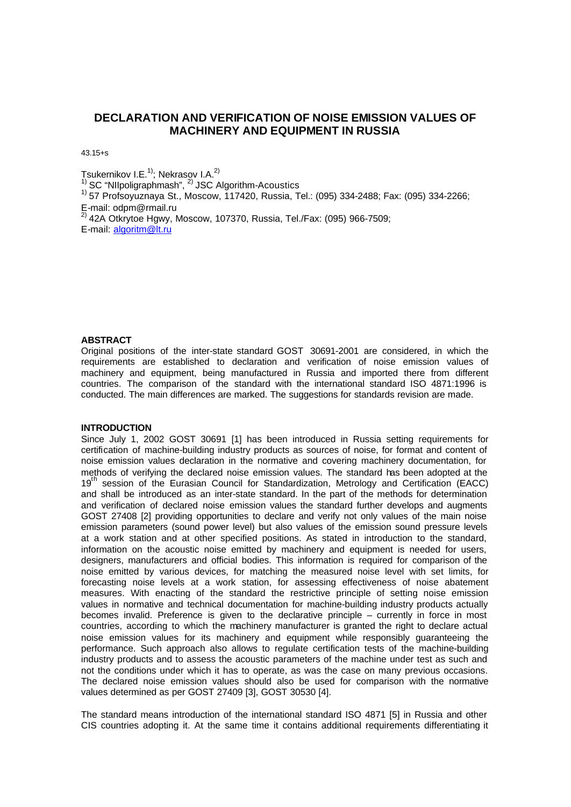# **DECLARATION AND VERIFICATION OF NOISE EMISSION VALUES OF MACHINERY AND EQUIPMENT IN RUSSIA**

43.15+s

Tsukernikov I.E. $<sup>1</sup>$ ; Nekrasov I.A. $<sup>2</sup>$ </sup></sup>

 $1)$  SC "NIIpoligraphmash",  $2)$  JSC Algorithm-Acoustics

1) 57 Profsoyuznaya St., Moscow, 117420, Russia, Tel.: (095) 334-2488; Fax: (095) 334-2266; E-mail: odpm@rmail.ru

 $^{2)}$  42A Otkrytoe Hgwy, Moscow, 107370, Russia, Tel./Fax: (095) 966-7509;

E-mail: algoritm@lt.ru

## **ABSTRACT**

Original positions of the inter-state standard GOST 30691-2001 are considered, in which the requirements are established to declaration and verification of noise emission values of machinery and equipment, being manufactured in Russia and imported there from different countries. The comparison of the standard with the international standard ISO 4871:1996 is conducted. The main differences are marked. The suggestions for standards revision are made.

### **INTRODUCTION**

Since July 1, 2002 GOST 30691 [1] has been introduced in Russia setting requirements for certification of machine-building industry products as sources of noise, for format and content of noise emission values declaration in the normative and covering machinery documentation, for methods of verifying the declared noise emission values. The standard has been adopted at the 19<sup>th</sup> session of the Eurasian Council for Standardization, Metrology and Certification (EACC) and shall be introduced as an inter-state standard. In the part of the methods for determination and verification of declared noise emission values the standard further develops and augments GOST 27408 [2] providing opportunities to declare and verify not only values of the main noise emission parameters (sound power level) but also values of the emission sound pressure levels at a work station and at other specified positions. As stated in introduction to the standard, information on the acoustic noise emitted by machinery and equipment is needed for users, designers, manufacturers and official bodies. This information is required for comparison of the noise emitted by various devices, for matching the measured noise level with set limits, for forecasting noise levels at a work station, for assessing effectiveness of noise abatement measures. With enacting of the standard the restrictive principle of setting noise emission values in normative and technical documentation for machine-building industry products actually becomes invalid. Preference is given to the declarative principle – currently in force in most countries, according to which the machinery manufacturer is granted the right to declare actual noise emission values for its machinery and equipment while responsibly guaranteeing the performance. Such approach also allows to regulate certification tests of the machine-building industry products and to assess the acoustic parameters of the machine under test as such and not the conditions under which it has to operate, as was the case on many previous occasions. The declared noise emission values should also be used for comparison with the normative values determined as per GOST 27409 [3], GOST 30530 [4].

The standard means introduction of the international standard ISO 4871 [5] in Russia and other CIS countries adopting it. At the same time it contains additional requirements differentiating it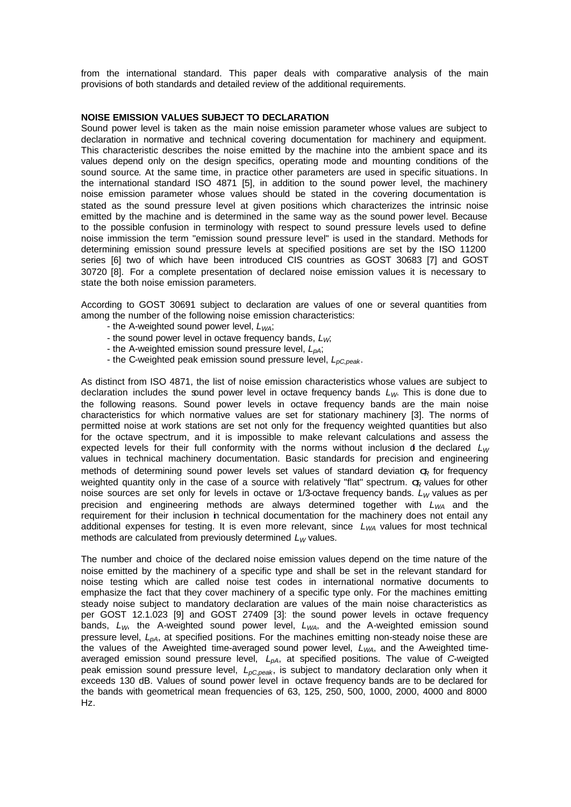from the international standard. This paper deals with comparative analysis of the main provisions of both standards and detailed review of the additional requirements.

### **NOISE EMISSION VALUES SUBJECT TO DECLARATION**

Sound power level is taken as the main noise emission parameter whose values are subject to declaration in normative and technical covering documentation for machinery and equipment. This characteristic describes the noise emitted by the machine into the ambient space and its values depend only on the design specifics, operating mode and mounting conditions of the sound source. At the same time, in practice other parameters are used in specific situations. In the international standard ISO 4871 [5], in addition to the sound power level, the machinery noise emission parameter whose values should be stated in the covering documentation is stated as the sound pressure level at given positions which characterizes the intrinsic noise emitted by the machine and is determined in the same way as the sound power level. Because to the possible confusion in terminology with respect to sound pressure levels used to define noise immission the term "emission sound pressure level" is used in the standard. Methods for determining emission sound pressure levels at specified positions are set by the ISO 11200 series [6] two of which have been introduced CIS countries as GOST 30683 [7] and GOST 30720 [8]. For a complete presentation of declared noise emission values it is necessary to state the both noise emission parameters.

According to GOST 30691 subject to declaration are values of one or several quantities from among the number of the following noise emission characteristics:

- the A-weighted sound power level, *LWA*;
- the sound power level in octave frequency bands, *LW*;
- the A-weighted emission sound pressure level, *LpA*;
- the C-weighted peak emission sound pressure level, *LpC,peak*.

As distinct from ISO 4871, the list of noise emission characteristics whose values are subject to declaration includes the sound power level in octave frequency bands *LW*. This is done due to the following reasons. Sound power levels in octave frequency bands are the main noise characteristics for which normative values are set for stationary machinery [3]. The norms of permitted noise at work stations are set not only for the frequency weighted quantities but also for the octave spectrum, and it is impossible to make relevant calculations and assess the expected levels for their full conformity with the norms without inclusion of the declared *L<sup>W</sup>* values in technical machinery documentation. Basic standards for precision and engineering methods of determining sound power levels set values of standard deviation *s<sup>R</sup>* for frequency weighted quantity only in the case of a source with relatively "flat" spectrum.  $\mathbf{s}_R$  values for other noise sources are set only for levels in octave or 1/3-octave frequency bands. *LW* values as per precision and engineering methods are always determined together with *LWA* and the requirement for their inclusion in technical documentation for the machinery does not entail any additional expenses for testing. It is even more relevant, since *LWA* values for most technical methods are calculated from previously determined  $L_W$  values.

The number and choice of the declared noise emission values depend on the time nature of the noise emitted by the machinery of a specific type and shall be set in the relevant standard for noise testing which are called noise test codes in international normative documents to emphasize the fact that they cover machinery of a specific type only. For the machines emitting steady noise subject to mandatory declaration are values of the main noise characteristics as per GOST 12.1.023 [9] and GOST 27409 [3]: the sound power levels in octave frequency bands, *LW*, the A-weighted sound power level, *LWA*, and the A-weighted emission sound pressure level, *LpA*, at specified positions. For the machines emitting non-steady noise these are the values of the A-weighted time-averaged sound power level, *L<sub>WA</sub>*, and the A-weighted timeaveraged emission sound pressure level, *LpA*, at specified positions. The value of *C*-weigted peak emission sound pressure level, *LpC,peak*, is subject to mandatory declaration only when it exceeds 130 dB. Values of sound power level in octave frequency bands are to be declared for the bands with geometrical mean frequencies of 63, 125, 250, 500, 1000, 2000, 4000 and 8000 Hz.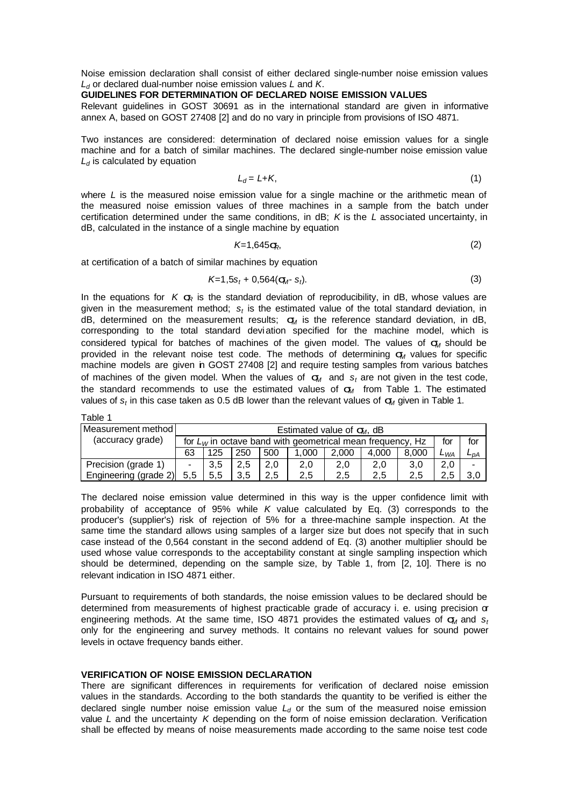Noise emission declaration shall consist of either declared single-number noise emission values *L<sup>d</sup>* or declared dual-number noise emission values *L* and *K*.

## **GUIDELINES FOR DETERMINATION OF DECLARED NOISE EMISSION VALUES**

Relevant guidelines in GOST 30691 as in the international standard are given in informative annex A, based on GOST 27408 [2] and do no vary in principle from provisions of ISO 4871.

Two instances are considered: determination of declared noise emission values for a single machine and for a batch of similar machines. The declared single-number noise emission value *Ld* is calculated by equation

$$
L_d = L + K,\tag{1}
$$

where *L* is the measured noise emission value for a single machine or the arithmetic mean of the measured noise emission values of three machines in a sample from the batch under certification determined under the same conditions, in dB; *K* is the *L* associated uncertainty, in dB, calculated in the instance of a single machine by equation

$$
K=1,645\,\mathrm{Sp},\tag{2}
$$

at certification of a batch of similar machines by equation

$$
K=1,5s_t+0,564(\mathbf{s}_M\cdot s_t). \tag{3}
$$

In the equations for  $K \leq R$  is the standard deviation of reproducibility, in dB, whose values are given in the measurement method; *s<sup>t</sup>* is the estimated value of the total standard deviation, in dB, determined on the measurement results; *sM* is the reference standard deviation, in dB, corresponding to the total standard deviation specified for the machine model, which is considered typical for batches of machines of the given model. The values of *sM* should be provided in the relevant noise test code. The methods of determining  $\mathbf{s}_M$  values for specific machine models are given in GOST 27408 [2] and require testing samples from various batches of machines of the given model. When the values of  $s$ *M* and  $s$ <sup>t</sup> are not given in the test code, the standard recommends to use the estimated values of *sM* from Table 1. The estimated values of *s<sup>t</sup>* in this case taken as 0.5 dB lower than the relevant values of *sM* given in Table 1.

Table 1

| Measurement method    | Estimated value of $\mathbf{s}_M$ , dB |                                                              |     |     |       |       |       |       |     |                 |
|-----------------------|----------------------------------------|--------------------------------------------------------------|-----|-----|-------|-------|-------|-------|-----|-----------------|
| (accuracy grade)      |                                        | for $L_W$ in octave band with geometrical mean frequency, Hz |     |     |       |       |       |       |     | for             |
|                       | 63                                     | 125                                                          | 250 | 500 | 1.000 | 2.000 | 4.000 | 8.000 | Lwa | L <sub>DA</sub> |
| Precision (grade 1)   |                                        | 3.5                                                          | 2.5 | 2.0 | 2.0   | 2,0   | 2.0   | 3.0   | 2.0 |                 |
| Engineering (grade 2) | 5.5                                    | 5.5                                                          | 3.5 | 2.5 | 2.5   | 2.5   | 2.5   | 2.5   |     |                 |

The declared noise emission value determined in this way is the upper confidence limit with probability of acceptance of 95% while *K* value calculated by Eq. (3) corresponds to the producer's (supplier's) risk of rejection of 5% for a three-machine sample inspection. At the same time the standard allows using samples of a larger size but does not specify that in such case instead of the 0,564 constant in the second addend of Eq. (3) another multiplier should be used whose value corresponds to the acceptability constant at single sampling inspection which should be determined, depending on the sample size, by Table 1, from [2, 10]. There is no relevant indication in ISO 4871 either.

Pursuant to requirements of both standards, the noise emission values to be declared should be determined from measurements of highest practicable grade of accuracy i. e. using precision or engineering methods. At the same time, ISO 4871 provides the estimated values of  $s$ <sup>*M*</sup> and  $s$ <sup>*t*</sup> only for the engineering and survey methods. It contains no relevant values for sound power levels in octave frequency bands either.

### **VERIFICATION OF NOISE EMISSION DECLARATION**

There are significant differences in requirements for verification of declared noise emission values in the standards. According to the both standards the quantity to be verified is either the declared single number noise emission value *Ld* or the sum of the measured noise emission value *L* and the uncertainty *K* depending on the form of noise emission declaration. Verification shall be effected by means of noise measurements made according to the same noise test code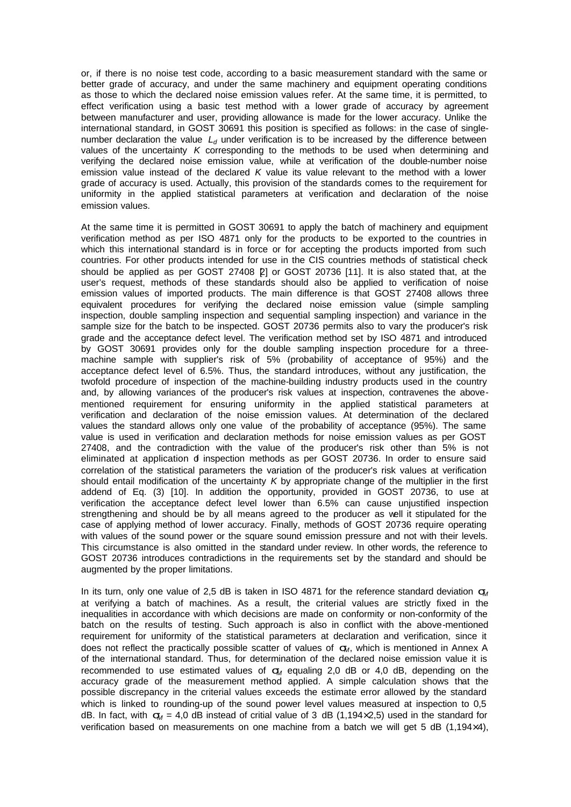or, if there is no noise test code, according to a basic measurement standard with the same or better grade of accuracy, and under the same machinery and equipment operating conditions as those to which the declared noise emission values refer. At the same time, it is permitted, to effect verification using a basic test method with a lower grade of accuracy by agreement between manufacturer and user, providing allowance is made for the lower accuracy. Unlike the international standard, in GOST 30691 this position is specified as follows: in the case of singlenumber declaration the value  $L_d$  under verification is to be increased by the difference between values of the uncertainty *K* corresponding to the methods to be used when determining and verifying the declared noise emission value, while at verification of the double-number noise emission value instead of the declared *K* value its value relevant to the method with a lower grade of accuracy is used. Actually, this provision of the standards comes to the requirement for uniformity in the applied statistical parameters at verification and declaration of the noise emission values.

At the same time it is permitted in GOST 30691 to apply the batch of machinery and equipment verification method as per ISO 4871 only for the products to be exported to the countries in which this international standard is in force or for accepting the products imported from such countries. For other products intended for use in the CIS countries methods of statistical check should be applied as per GOST 27408 [2] or GOST 20736 [11]. It is also stated that, at the user's request, methods of these standards should also be applied to verification of noise emission values of imported products. The main difference is that GOST 27408 allows three equivalent procedures for verifying the declared noise emission value (simple sampling inspection, double sampling inspection and sequential sampling inspection) and variance in the sample size for the batch to be inspected. GOST 20736 permits also to vary the producer's risk grade and the acceptance defect level. The verification method set by ISO 4871 and introduced by GOST 30691 provides only for the double sampling inspection procedure for a threemachine sample with supplier's risk of 5% (probability of acceptance of 95%) and the acceptance defect level of 6.5%. Thus, the standard introduces, without any justification, the twofold procedure of inspection of the machine-building industry products used in the country and, by allowing variances of the producer's risk values at inspection, contravenes the abovementioned requirement for ensuring uniformity in the applied statistical parameters at verification and declaration of the noise emission values. At determination of the declared values the standard allows only one value of the probability of acceptance (95%). The same value is used in verification and declaration methods for noise emission values as per GOST 27408, and the contradiction with the value of the producer's risk other than 5% is not eliminated at application of inspection methods as per GOST 20736. In order to ensure said correlation of the statistical parameters the variation of the producer's risk values at verification should entail modification of the uncertainty *K* by appropriate change of the multiplier in the first addend of Eq. (3) [10]. In addition the opportunity, provided in GOST 20736, to use at verification the acceptance defect level lower than 6.5% can cause unjustified inspection strengthening and should be by all means agreed to the producer as well it stipulated for the case of applying method of lower accuracy. Finally, methods of GOST 20736 require operating with values of the sound power or the square sound emission pressure and not with their levels. This circumstance is also omitted in the standard under review. In other words, the reference to GOST 20736 introduces contradictions in the requirements set by the standard and should be augmented by the proper limitations.

In its turn, only one value of 2,5 dB is taken in ISO 4871 for the reference standard deviation  $\mathbf{s}_M$ at verifying a batch of machines. As a result, the criterial values are strictly fixed in the inequalities in accordance with which decisions are made on conformity or non-conformity of the batch on the results of testing. Such approach is also in conflict with the above-mentioned requirement for uniformity of the statistical parameters at declaration and verification, since it does not reflect the practically possible scatter of values of *sM*, which is mentioned in Annex A of the international standard. Thus, for determination of the declared noise emission value it is recommended to use estimated values of *sM* equaling 2,0 dB or 4,0 dB, depending on the accuracy grade of the measurement method applied. A simple calculation shows that the possible discrepancy in the criterial values exceeds the estimate error allowed by the standard which is linked to rounding-up of the sound power level values measured at inspection to 0,5 dB. In fact, with  $\mathbf{s}_M = 4.0$  dB instead of critial value of 3 dB (1,194 $\times$ 2,5) used in the standard for verification based on measurements on one machine from a batch we will get 5 dB (1,194×4),